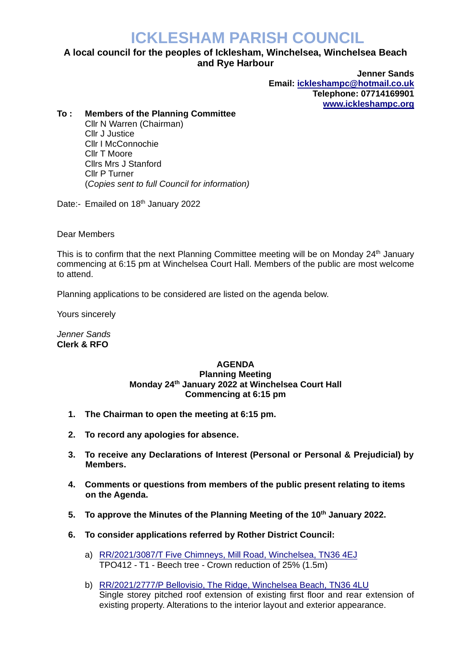## **ICKLESHAM PARISH COUNCIL**

## **A local council for the peoples of Icklesham, Winchelsea, Winchelsea Beach and Rye Harbour**

**Jenner Sands Email: [ickleshampc@hotmail.co.uk](mailto:ickleshampc@hotmail.co.uk) Telephone: 07714169901 [www.ickleshampc.org](http://www.ickleshampc.org/)**

## **To : Members of the Planning Committee**

Cllr N Warren (Chairman) Cllr J Justice Cllr I McConnochie Cllr T Moore Cllrs Mrs J Stanford Cllr P Turner (*Copies sent to full Council for information)*

Date:- Emailed on 18<sup>th</sup> January 2022

Dear Members

This is to confirm that the next Planning Committee meeting will be on Monday 24<sup>th</sup> January commencing at 6:15 pm at Winchelsea Court Hall. Members of the public are most welcome to attend.

Planning applications to be considered are listed on the agenda below.

Yours sincerely

*Jenner Sands* **Clerk & RFO**

## **AGENDA Planning Meeting Monday 24th January 2022 at Winchelsea Court Hall Commencing at 6:15 pm**

- **1. The Chairman to open the meeting at 6:15 pm.**
- **2. To record any apologies for absence.**
- **3. To receive any Declarations of Interest (Personal or Personal & Prejudicial) by Members.**
- **4. Comments or questions from members of the public present relating to items on the Agenda.**
- **5. To approve the Minutes of the Planning Meeting of the 10th January 2022.**
- **6. To consider applications referred by Rother District Council:**
	- a) RR/2021/3087/T [Five Chimneys, Mill Road, Winchelsea,](http://planweb01.rother.gov.uk/OcellaWeb/planningDetails?reference=RR/2021/3087/T) TN36 4EJ TPO412 - T1 - Beech tree - Crown reduction of 25% (1.5m)
	- b) RR/2021/2777/P [Bellovisio, The Ridge, Winchelsea Beach, TN36 4LU](http://planweb01.rother.gov.uk/OcellaWeb/planningDetails?reference=RR/2021/2777/P) Single storey pitched roof extension of existing first floor and rear extension of existing property. Alterations to the interior layout and exterior appearance.